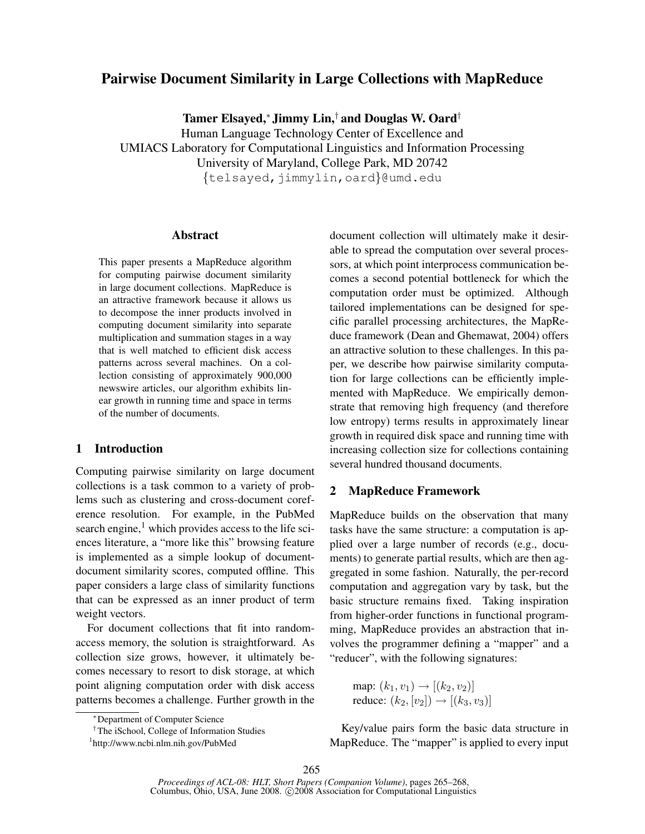# Pairwise Document Similarity in Large Collections with MapReduce

Tamer Elsayed,<sup>∗</sup> Jimmy Lin,† and Douglas W. Oard†

Human Language Technology Center of Excellence and UMIACS Laboratory for Computational Linguistics and Information Processing University of Maryland, College Park, MD 20742 {telsayed,jimmylin,oard}@umd.edu

### Abstract

This paper presents a MapReduce algorithm for computing pairwise document similarity in large document collections. MapReduce is an attractive framework because it allows us to decompose the inner products involved in computing document similarity into separate multiplication and summation stages in a way that is well matched to efficient disk access patterns across several machines. On a collection consisting of approximately 900,000 newswire articles, our algorithm exhibits linear growth in running time and space in terms of the number of documents.

### 1 Introduction

Computing pairwise similarity on large document collections is a task common to a variety of problems such as clustering and cross-document coreference resolution. For example, in the PubMed search engine, $<sup>1</sup>$  which provides access to the life sci-</sup> ences literature, a "more like this" browsing feature is implemented as a simple lookup of documentdocument similarity scores, computed offline. This paper considers a large class of similarity functions that can be expressed as an inner product of term weight vectors.

For document collections that fit into randomaccess memory, the solution is straightforward. As collection size grows, however, it ultimately becomes necessary to resort to disk storage, at which point aligning computation order with disk access patterns becomes a challenge. Further growth in the

†The iSchool, College of Information Studies

document collection will ultimately make it desirable to spread the computation over several processors, at which point interprocess communication becomes a second potential bottleneck for which the computation order must be optimized. Although tailored implementations can be designed for specific parallel processing architectures, the MapReduce framework (Dean and Ghemawat, 2004) offers an attractive solution to these challenges. In this paper, we describe how pairwise similarity computation for large collections can be efficiently implemented with MapReduce. We empirically demonstrate that removing high frequency (and therefore low entropy) terms results in approximately linear growth in required disk space and running time with increasing collection size for collections containing several hundred thousand documents.

# 2 MapReduce Framework

MapReduce builds on the observation that many tasks have the same structure: a computation is applied over a large number of records (e.g., documents) to generate partial results, which are then aggregated in some fashion. Naturally, the per-record computation and aggregation vary by task, but the basic structure remains fixed. Taking inspiration from higher-order functions in functional programming, MapReduce provides an abstraction that involves the programmer defining a "mapper" and a "reducer", with the following signatures:

map: 
$$
(k_1, v_1) \rightarrow [(k_2, v_2)]
$$
  
reduce:  $(k_2, [v_2]) \rightarrow [(k_3, v_3)]$ 

Key/value pairs form the basic data structure in MapReduce. The "mapper" is applied to every input

<sup>∗</sup>Department of Computer Science

<sup>1</sup> http://www.ncbi.nlm.nih.gov/PubMed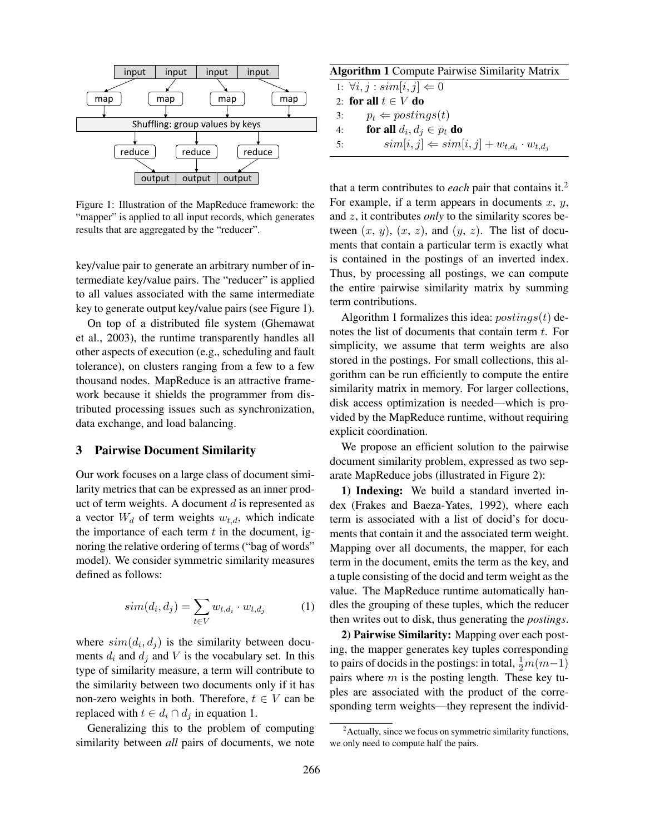

Figure 1: Illustration of the MapReduce framework: the "mapper" is applied to all input records, which generates results that are aggregated by the "reducer".

key/value pair to generate an arbitrary number of intermediate key/value pairs. The "reducer" is applied to all values associated with the same intermediate key to generate output key/value pairs (see Figure 1).

On top of a distributed file system (Ghemawat et al., 2003), the runtime transparently handles all other aspects of execution (e.g., scheduling and fault tolerance), on clusters ranging from a few to a few thousand nodes. MapReduce is an attractive framework because it shields the programmer from distributed processing issues such as synchronization, data exchange, and load balancing.

# 3 Pairwise Document Similarity

Our work focuses on a large class of document similarity metrics that can be expressed as an inner product of term weights. A document  $d$  is represented as a vector  $W_d$  of term weights  $w_{t,d}$ , which indicate the importance of each term  $t$  in the document, ignoring the relative ordering of terms ("bag of words" model). We consider symmetric similarity measures defined as follows:

$$
sim(d_i, d_j) = \sum_{t \in V} w_{t, d_i} \cdot w_{t, d_j} \tag{1}
$$

where  $sim(d_i, d_j)$  is the similarity between documents  $d_i$  and  $d_j$  and V is the vocabulary set. In this type of similarity measure, a term will contribute to the similarity between two documents only if it has non-zero weights in both. Therefore,  $t \in V$  can be replaced with  $t \in d_i \cap d_j$  in equation 1.

Generalizing this to the problem of computing similarity between *all* pairs of documents, we note

| <b>Algorithm 1</b> Compute Pairwise Similarity Matrix |  |  |  |
|-------------------------------------------------------|--|--|--|
|                                                       |  |  |  |

|    | 1: $\forall i, j : sim[i, j] \Leftarrow 0$                                 |
|----|----------------------------------------------------------------------------|
|    | 2: for all $t \in V$ do                                                    |
| 3: | $p_t \leftarrow postings(t)$                                               |
| 4: | for all $d_i, d_j \in p_t$ do                                              |
| 5: | $\text{sim}[i, j] \Leftarrow \text{sim}[i, j] + w_{t,d_i} \cdot w_{t,d_i}$ |
|    |                                                                            |

that a term contributes to *each* pair that contains it.<sup>2</sup> For example, if a term appears in documents  $x, y$ , and z, it contributes *only* to the similarity scores between  $(x, y)$ ,  $(x, z)$ , and  $(y, z)$ . The list of documents that contain a particular term is exactly what is contained in the postings of an inverted index. Thus, by processing all postings, we can compute the entire pairwise similarity matrix by summing term contributions.

Algorithm 1 formalizes this idea:  $postings(t)$  denotes the list of documents that contain term  $t$ . For simplicity, we assume that term weights are also stored in the postings. For small collections, this algorithm can be run efficiently to compute the entire similarity matrix in memory. For larger collections, disk access optimization is needed—which is provided by the MapReduce runtime, without requiring explicit coordination.

We propose an efficient solution to the pairwise document similarity problem, expressed as two separate MapReduce jobs (illustrated in Figure 2):

1) Indexing: We build a standard inverted index (Frakes and Baeza-Yates, 1992), where each term is associated with a list of docid's for documents that contain it and the associated term weight. Mapping over all documents, the mapper, for each term in the document, emits the term as the key, and a tuple consisting of the docid and term weight as the value. The MapReduce runtime automatically handles the grouping of these tuples, which the reducer then writes out to disk, thus generating the *postings*.

2) Pairwise Similarity: Mapping over each posting, the mapper generates key tuples corresponding to pairs of docids in the postings: in total,  $\frac{1}{2}m(m-1)$ pairs where  $m$  is the posting length. These key tuples are associated with the product of the corresponding term weights—they represent the individ-

 $2$ Actually, since we focus on symmetric similarity functions, we only need to compute half the pairs.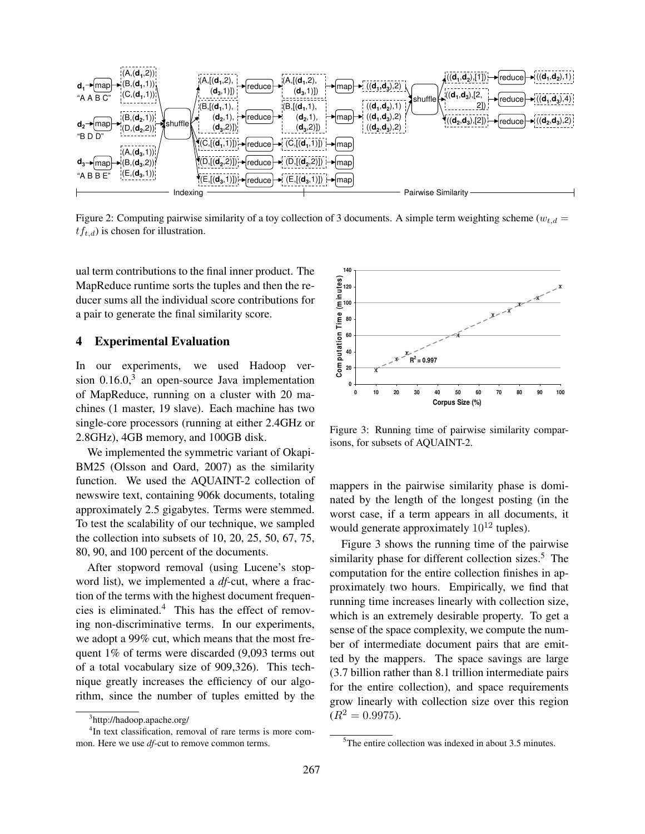

Figure 2: Computing pairwise similarity of a toy collection of 3 documents. A simple term weighting scheme ( $w_{t,d}$  =  $tf_{t,d}$ ) is chosen for illustration.

ual term contributions to the final inner product. The MapReduce runtime sorts the tuples and then the reducer sums all the individual score contributions for a pair to generate the final similarity score.

### 4 Experimental Evaluation

In our experiments, we used Hadoop version  $0.16.0$ ,<sup>3</sup> an open-source Java implementation of MapReduce, running on a cluster with 20 machines (1 master, 19 slave). Each machine has two single-core processors (running at either 2.4GHz or 2.8GHz), 4GB memory, and 100GB disk.

We implemented the symmetric variant of Okapi-BM25 (Olsson and Oard, 2007) as the similarity function. We used the AQUAINT-2 collection of newswire text, containing 906k documents, totaling approximately 2.5 gigabytes. Terms were stemmed. To test the scalability of our technique, we sampled the collection into subsets of 10, 20, 25, 50, 67, 75, 80, 90, and 100 percent of the documents.

After stopword removal (using Lucene's stopword list), we implemented a *df*-cut, where a fraction of the terms with the highest document frequencies is eliminated.<sup>4</sup> This has the effect of removing non-discriminative terms. In our experiments, we adopt a 99% cut, which means that the most frequent 1% of terms were discarded (9,093 terms out of a total vocabulary size of 909,326). This technique greatly increases the efficiency of our algorithm, since the number of tuples emitted by the



Figure 3: Running time of pairwise similarity comparisons, for subsets of AQUAINT-2.

mappers in the pairwise similarity phase is dominated by the length of the longest posting (in the worst case, if a term appears in all documents, it would generate approximately  $10^{12}$  tuples).

Figure 3 shows the running time of the pairwise similarity phase for different collection sizes.<sup>5</sup> The computation for the entire collection finishes in approximately two hours. Empirically, we find that running time increases linearly with collection size, which is an extremely desirable property. To get a sense of the space complexity, we compute the number of intermediate document pairs that are emitted by the mappers. The space savings are large (3.7 billion rather than 8.1 trillion intermediate pairs for the entire collection), and space requirements grow linearly with collection size over this region  $(R^2 = 0.9975).$ 

<sup>3</sup> http://hadoop.apache.org/

<sup>&</sup>lt;sup>4</sup>In text classification, removal of rare terms is more common. Here we use *df*-cut to remove common terms.

 $5$ The entire collection was indexed in about 3.5 minutes.